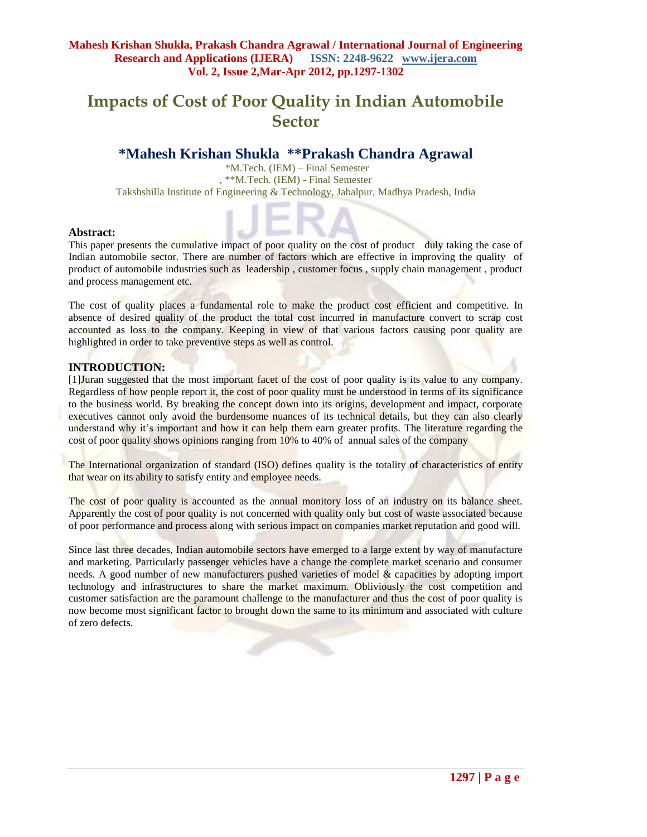# **Impacts of Cost of Poor Quality in Indian Automobile Sector**

# **\*Mahesh Krishan Shukla \*\*Prakash Chandra Agrawal**

\*M.Tech. (IEM) – Final Semester , \*\*M.Tech. (IEM) - Final Semester Takshshilla Institute of Engineering & Technology, Jabalpur, Madhya Pradesh, India

## **Abstract:**

This paper presents the cumulative impact of poor quality on the cost of product duly taking the case of Indian automobile sector. There are number of factors which are effective in improving the quality of product of automobile industries such as leadership , customer focus , supply chain management , product and process management etc.

The cost of quality places a fundamental role to make the product cost efficient and competitive. In absence of desired quality of the product the total cost incurred in manufacture convert to scrap cost accounted as loss to the company. Keeping in view of that various factors causing poor quality are highlighted in order to take preventive steps as well as control.

# **INTRODUCTION:**

[1]Juran suggested that the most important facet of the cost of poor quality is its value to any company. Regardless of how people report it, the cost of poor quality must be understood in terms of its significance to the business world. By breaking the concept down into its origins, development and impact, corporate executives cannot only avoid the burdensome nuances of its technical details, but they can also clearly understand why it's important and how it can help them earn greater profits. The literature regarding the cost of poor quality shows opinions ranging from 10% to 40% of annual sales of the company

The International organization of standard (ISO) defines quality is the totality of characteristics of entity that wear on its ability to satisfy entity and employee needs.

The cost of poor quality is accounted as the annual monitory loss of an industry on its balance sheet. Apparently the cost of poor quality is not concerned with quality only but cost of waste associated because of poor performance and process along with serious impact on companies market reputation and good will.

Since last three decades, Indian automobile sectors have emerged to a large extent by way of manufacture and marketing. Particularly passenger vehicles have a change the complete market scenario and consumer needs. A good number of new manufacturers pushed varieties of model & capacities by adopting import technology and infrastructures to share the market maximum. Obliviously the cost competition and customer satisfaction are the paramount challenge to the manufacturer and thus the cost of poor quality is now become most significant factor to brought down the same to its minimum and associated with culture of zero defects.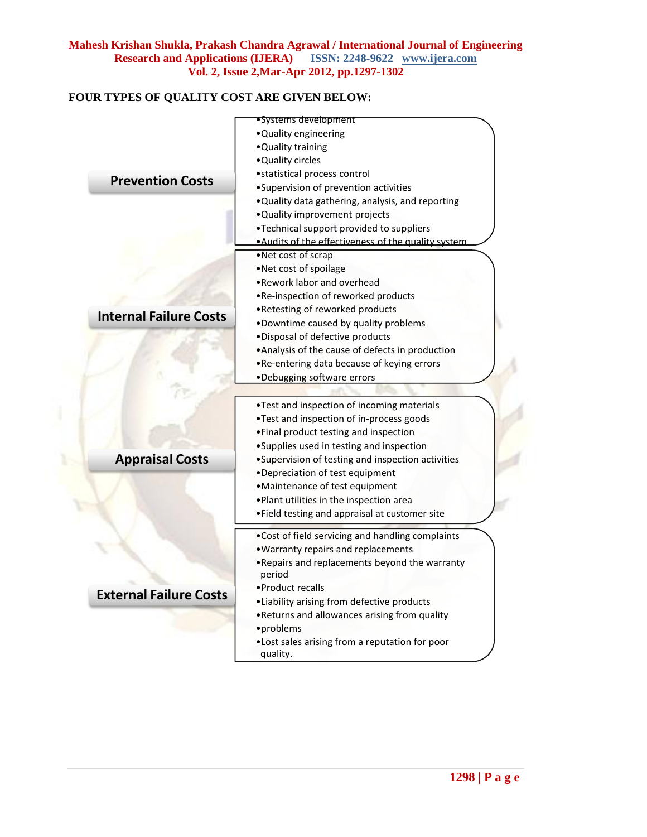# **FOUR TYPES OF QUALITY COST ARE GIVEN BELOW:**

|                               | • Systems development                                    |  |
|-------------------------------|----------------------------------------------------------|--|
|                               | . Quality engineering                                    |  |
|                               | . Quality training                                       |  |
|                               | • Quality circles                                        |  |
| <b>Prevention Costs</b>       | • statistical process control                            |  |
|                               | •Supervision of prevention activities                    |  |
|                               | . Quality data gathering, analysis, and reporting        |  |
|                               | . Quality improvement projects                           |  |
|                               | •Technical support provided to suppliers                 |  |
|                               | . Audits of the effectiveness of the quality system      |  |
|                               | •Net cost of scrap                                       |  |
|                               | •Net cost of spoilage                                    |  |
|                               | •Rework labor and overhead                               |  |
|                               | . Re-inspection of reworked products                     |  |
| <b>Internal Failure Costs</b> | . Retesting of reworked products                         |  |
|                               | . Downtime caused by quality problems                    |  |
|                               | . Disposal of defective products                         |  |
|                               | • Analysis of the cause of defects in production         |  |
|                               | . Re-entering data because of keying errors              |  |
|                               | •Debugging software errors                               |  |
|                               |                                                          |  |
|                               | . Test and inspection of incoming materials              |  |
|                               | . Test and inspection of in-process goods                |  |
|                               | . Final product testing and inspection                   |  |
|                               | •Supplies used in testing and inspection                 |  |
| <b>Appraisal Costs</b>        | • Supervision of testing and inspection activities       |  |
|                               | •Depreciation of test equipment                          |  |
|                               | •Maintenance of test equipment                           |  |
|                               | . Plant utilities in the inspection area                 |  |
|                               | . Field testing and appraisal at customer site           |  |
|                               | . Cost of field servicing and handling complaints        |  |
|                               | . Warranty repairs and replacements                      |  |
|                               | . Repairs and replacements beyond the warranty<br>period |  |
|                               | • Product recalls                                        |  |
| <b>External Failure Costs</b> | . Liability arising from defective products              |  |
|                               | . Returns and allowances arising from quality            |  |
|                               | • problems                                               |  |
|                               | . Lost sales arising from a reputation for poor          |  |
|                               | quality.                                                 |  |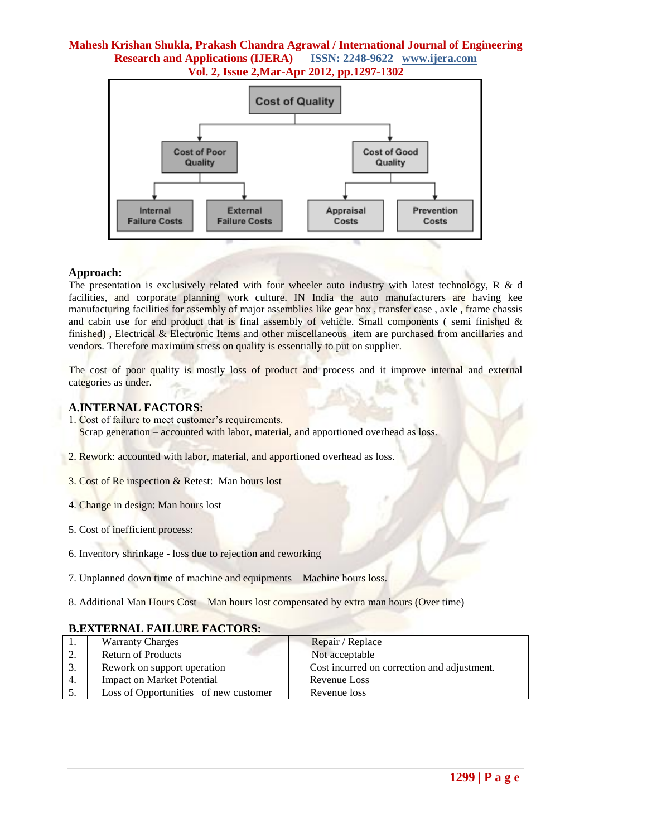

#### **Approach:**

The presentation is exclusively related with four wheeler auto industry with latest technology, R & d facilities, and corporate planning work culture. IN India the auto manufacturers are having kee manufacturing facilities for assembly of major assemblies like gear box , transfer case , axle , frame chassis and cabin use for end product that is final assembly of vehicle. Small components (semi finished  $\&$ finished), Electrical & Electronic Items and other miscellaneous item are purchased from ancillaries and vendors. Therefore maximum stress on quality is essentially to put on supplier.

The cost of poor quality is mostly loss of product and process and it improve internal and external categories as under.

## **A.INTERNAL FACTORS:**

- 1. Cost of failure to meet customer's requirements. Scrap generation – accounted with labor, material, and apportioned overhead as loss.
- 2. Rework: accounted with labor, material, and apportioned overhead as loss.
- 3. Cost of Re inspection & Retest: Man hours lost
- 4. Change in design: Man hours lost
- 5. Cost of inefficient process:
- 6. Inventory shrinkage loss due to rejection and reworking
- 7. Unplanned down time of machine and equipments Machine hours loss.
- 8. Additional Man Hours Cost Man hours lost compensated by extra man hours (Over time)

#### **B.EXTERNAL FAILURE FACTORS:**

|     | <b>Warranty Charges</b>               | Repair / Replace                            |
|-----|---------------------------------------|---------------------------------------------|
| ٠.  | Return of Products                    | Not acceptable                              |
| . ب | Rework on support operation           | Cost incurred on correction and adjustment. |
| 4.  | Impact on Market Potential            | Revenue Loss                                |
|     | Loss of Opportunities of new customer | Revenue loss                                |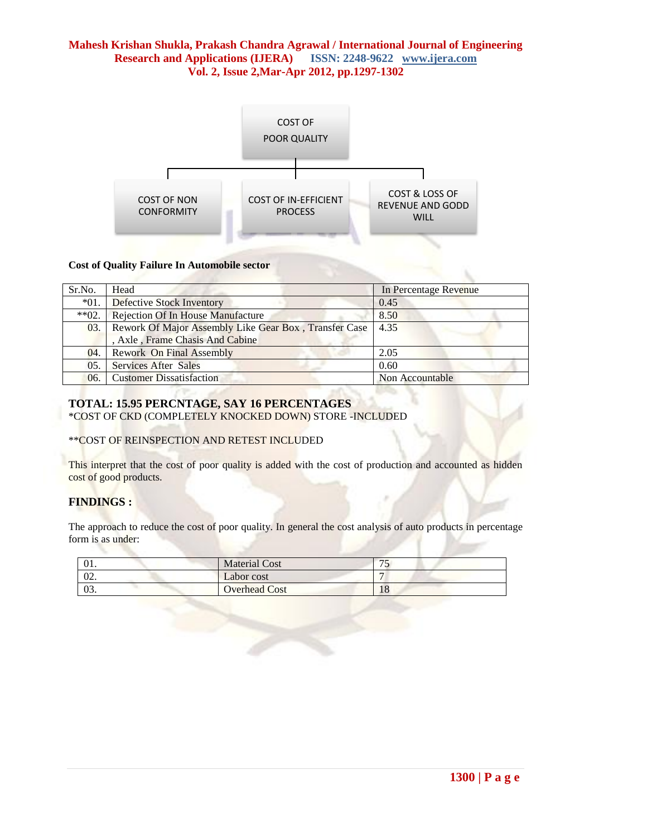

#### **Cost of Quality Failure In Automobile sector**

| Sr.No.     | Head                                                  | In Percentage Revenue |
|------------|-------------------------------------------------------|-----------------------|
| $*01.$     | <b>Defective Stock Inventory</b>                      | 0.45                  |
| $*$ $*02.$ | <b>Rejection Of In House Manufacture</b>              | 8.50                  |
| 03.        | Rework Of Major Assembly Like Gear Box, Transfer Case | 4.35                  |
|            | , Axle, Frame Chasis And Cabine                       |                       |
| 04.        | Rework On Final Assembly                              | 2.05                  |
| 05.        | <b>Services After Sales</b>                           | 0.60                  |
| 06.        | <b>Customer Dissatisfaction</b>                       | Non Accountable       |

# **TOTAL: 15.95 PERCNTAGE, SAY 16 PERCENTAGES**

\*COST OF CKD (COMPLETELY KNOCKED DOWN) STORE -INCLUDED

#### \*\*COST OF REINSPECTION AND RETEST INCLUDED

This interpret that the cost of poor quality is added with the cost of production and accounted as hidden cost of good products.

# **FINDINGS :**

The approach to reduce the cost of poor quality. In general the cost analysis of auto products in percentage form is as under:

| 01.             | <b>Material Cost</b> |    |
|-----------------|----------------------|----|
| 02.             | Labor cost           |    |
| $\Omega$<br>US. | <b>Overhead Cost</b> | 10 |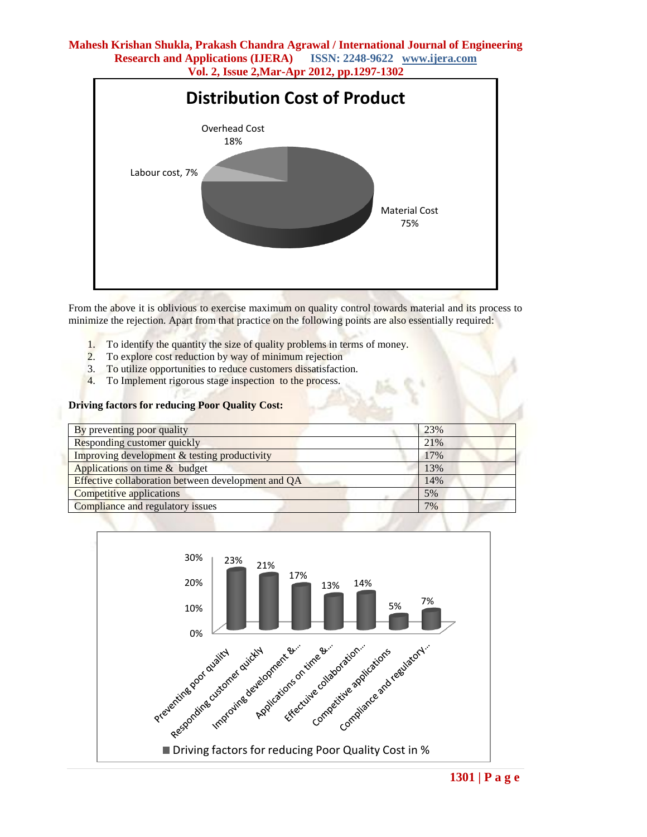

From the above it is oblivious to exercise maximum on quality control towards material and its process to minimize the rejection. Apart from that practice on the following points are also essentially required:

- 1. To identify the quantity the size of quality problems in terms of money.
- 2. To explore cost reduction by way of minimum rejection
- 3. To utilize opportunities to reduce customers dissatisfaction.
- 4. To Implement rigorous stage inspection to the process.

#### **Driving factors for reducing Poor Quality Cost:**

| By preventing poor quality                         | 23% |
|----------------------------------------------------|-----|
| Responding customer quickly                        | 21% |
| Improving development & testing productivity       | 17% |
| Applications on time & budget                      | 13% |
| Effective collaboration between development and QA | 14% |
| Competitive applications                           | 5%  |
| Compliance and regulatory issues                   | 7%  |